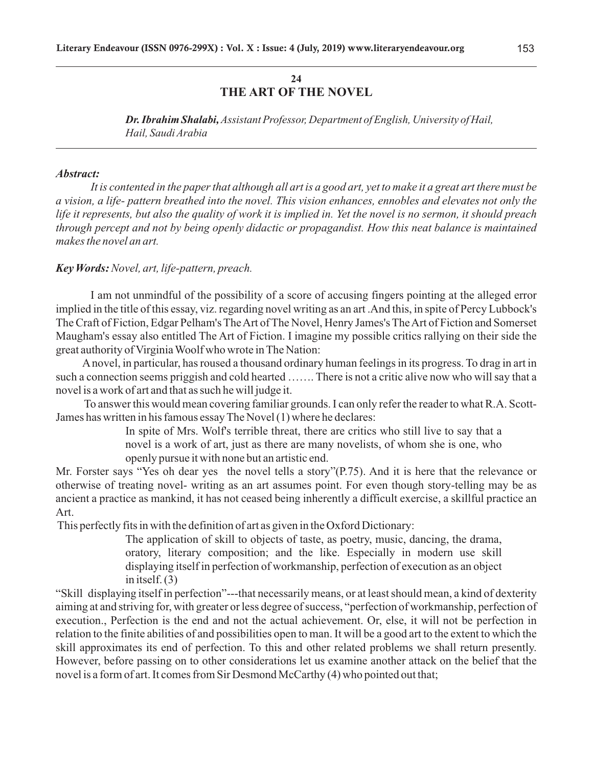# **24 THE ART OF THE NOVEL**

*Dr. Ibrahim Shalabi, Assistant Professor, Department of English, University of Hail, Hail, Saudi Arabia*

#### *Abstract:*

*It is contented in the paper that although all art is a good art, yet to make it a great art there must be a vision, a life- pattern breathed into the novel. This vision enhances, ennobles and elevates not only the life it represents, but also the quality of work it is implied in. Yet the novel is no sermon, it should preach through percept and not by being openly didactic or propagandist. How this neat balance is maintained makes the novel an art.*

### *Key Words:Novel, art, life-pattern, preach.*

I am not unmindful of the possibility of a score of accusing fingers pointing at the alleged error implied in the title of this essay, viz. regarding novel writing as an art .And this, in spite of Percy Lubbock's The Craft of Fiction, Edgar Pelham's The Art of The Novel, Henry James's The Art of Fiction and Somerset Maugham's essay also entitled The Art of Fiction. I imagine my possible critics rallying on their side the great authority of Virginia Woolf who wrote in The Nation:

Anovel, in particular, has roused a thousand ordinary human feelings in its progress. To drag in art in such a connection seems priggish and cold hearted ……. There is not a critic alive now who will say that a novel is a work of art and that as such he will judge it.

To answer this would mean covering familiar grounds. I can only refer the reader to what R.A. Scott-James has written in his famous essay The Novel (1) where he declares:

> In spite of Mrs. Wolf's terrible threat, there are critics who still live to say that a novel is a work of art, just as there are many novelists, of whom she is one, who openly pursue it with none but an artistic end.

Mr. Forster says "Yes oh dear yes the novel tells a story"(P.75). And it is here that the relevance or otherwise of treating novel- writing as an art assumes point. For even though story-telling may be as ancient a practice as mankind, it has not ceased being inherently a difficult exercise, a skillful practice an Art.

This perfectly fits in with the definition of art as given in the Oxford Dictionary:

The application of skill to objects of taste, as poetry, music, dancing, the drama, oratory, literary composition; and the like. Especially in modern use skill displaying itself in perfection of workmanship, perfection of execution as an object in itself. (3)

"Skill displaying itself in perfection"---that necessarily means, or at least should mean, a kind of dexterity aiming at and striving for, with greater or less degree of success, "perfection of workmanship, perfection of execution., Perfection is the end and not the actual achievement. Or, else, it will not be perfection in relation to the finite abilities of and possibilities open to man. It will be a good art to the extent to which the skill approximates its end of perfection. To this and other related problems we shall return presently. However, before passing on to other considerations let us examine another attack on the belief that the novel is a form of art. It comes from Sir Desmond McCarthy (4) who pointed out that;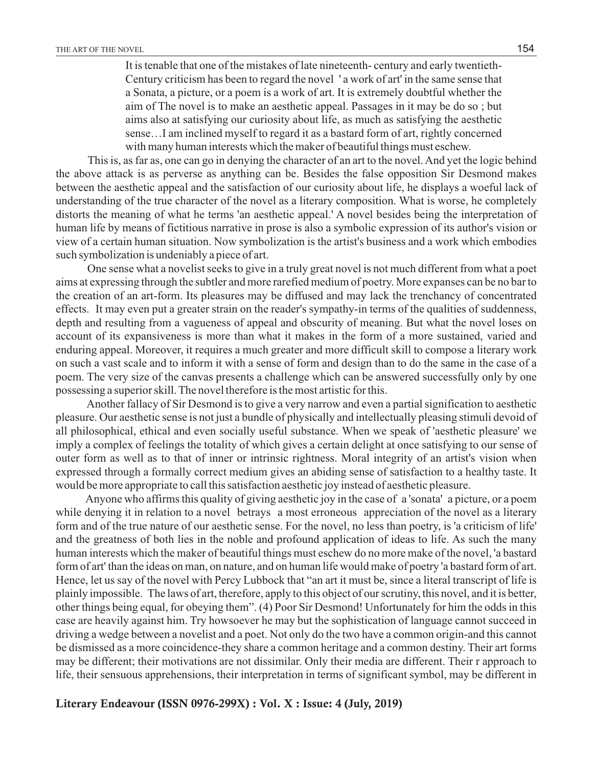It is tenable that one of the mistakes of late nineteenth- century and early twentieth-Century criticism has been to regard the novel ' a work of art' in the same sense that a Sonata, a picture, or a poem is a work of art. It is extremely doubtful whether the aim of The novel is to make an aesthetic appeal. Passages in it may be do so ; but aims also at satisfying our curiosity about life, as much as satisfying the aesthetic sense…I am inclined myself to regard it as a bastard form of art, rightly concerned with many human interests which the maker of beautiful things must eschew.

This is, as far as, one can go in denying the character of an art to the novel. And yet the logic behind the above attack is as perverse as anything can be. Besides the false opposition Sir Desmond makes between the aesthetic appeal and the satisfaction of our curiosity about life, he displays a woeful lack of understanding of the true character of the novel as a literary composition. What is worse, he completely distorts the meaning of what he terms 'an aesthetic appeal.' A novel besides being the interpretation of human life by means of fictitious narrative in prose is also a symbolic expression of its author's vision or view of a certain human situation. Now symbolization is the artist's business and a work which embodies such symbolization is undeniably a piece of art.

One sense what a novelist seeks to give in a truly great novel is not much different from what a poet aims at expressing through the subtler and more rarefied medium of poetry. More expanses can be no bar to the creation of an art-form. Its pleasures may be diffused and may lack the trenchancy of concentrated effects. It may even put a greater strain on the reader's sympathy-in terms of the qualities of suddenness, depth and resulting from a vagueness of appeal and obscurity of meaning. But what the novel loses on account of its expansiveness is more than what it makes in the form of a more sustained, varied and enduring appeal. Moreover, it requires a much greater and more difficult skill to compose a literary work on such a vast scale and to inform it with a sense of form and design than to do the same in the case of a poem. The very size of the canvas presents a challenge which can be answered successfully only by one possessing a superior skill. The novel therefore is the most artistic for this.

Another fallacy of Sir Desmond is to give a very narrow and even a partial signification to aesthetic pleasure. Our aesthetic sense is not just a bundle of physically and intellectually pleasing stimuli devoid of all philosophical, ethical and even socially useful substance. When we speak of 'aesthetic pleasure' we imply a complex of feelings the totality of which gives a certain delight at once satisfying to our sense of outer form as well as to that of inner or intrinsic rightness. Moral integrity of an artist's vision when expressed through a formally correct medium gives an abiding sense of satisfaction to a healthy taste. It would be more appropriate to call this satisfaction aesthetic joy instead of aesthetic pleasure.

Anyone who affirms this quality of giving aesthetic joy in the case of a 'sonata' a picture, or a poem while denying it in relation to a novel betrays a most erroneous appreciation of the novel as a literary form and of the true nature of our aesthetic sense. For the novel, no less than poetry, is 'a criticism of life' and the greatness of both lies in the noble and profound application of ideas to life. As such the many human interests which the maker of beautiful things must eschew do no more make of the novel, 'a bastard form of art' than the ideas on man, on nature, and on human life would make of poetry 'a bastard form of art. Hence, let us say of the novel with Percy Lubbock that "an art it must be, since a literal transcript of life is plainly impossible. The laws of art, therefore, apply to this object of our scrutiny, this novel, and it is better, other things being equal, for obeying them". (4) Poor Sir Desmond! Unfortunately for him the odds in this case are heavily against him. Try howsoever he may but the sophistication of language cannot succeed in driving a wedge between a novelist and a poet. Not only do the two have a common origin-and this cannot be dismissed as a more coincidence-they share a common heritage and a common destiny. Their art forms may be different; their motivations are not dissimilar. Only their media are different. Their r approach to life, their sensuous apprehensions, their interpretation in terms of significant symbol, may be different in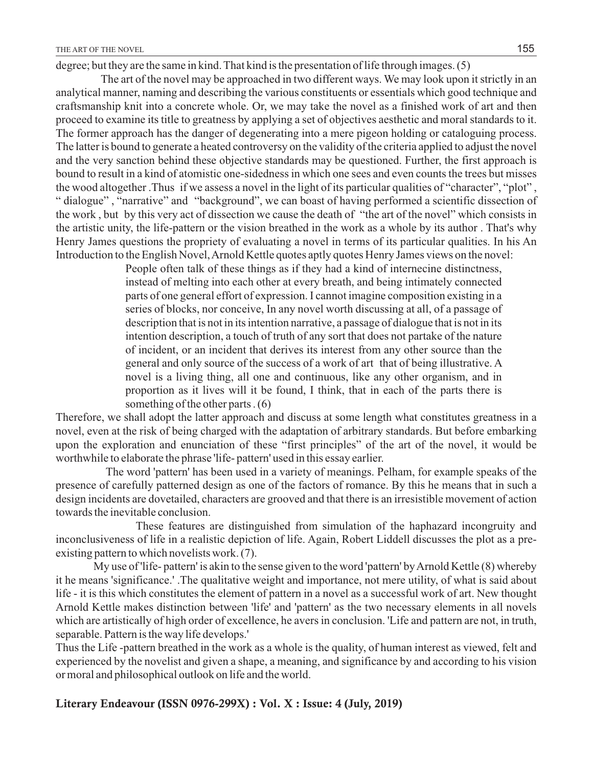degree; but they are the same in kind. That kind is the presentation of life through images. (5)

The art of the novel may be approached in two different ways. We may look upon it strictly in an analytical manner, naming and describing the various constituents or essentials which good technique and craftsmanship knit into a concrete whole. Or, we may take the novel as a finished work of art and then proceed to examine its title to greatness by applying a set of objectives aesthetic and moral standards to it. The former approach has the danger of degenerating into a mere pigeon holding or cataloguing process. The latter is bound to generate a heated controversy on the validity of the criteria applied to adjust the novel and the very sanction behind these objective standards may be questioned. Further, the first approach is bound to result in a kind of atomistic one-sidedness in which one sees and even counts the trees but misses the wood altogether .Thus if we assess a novel in the light of its particular qualities of "character", "plot" , " dialogue" , "narrative" and "background", we can boast of having performed a scientific dissection of the work , but by this very act of dissection we cause the death of "the art of the novel" which consists in the artistic unity, the life-pattern or the vision breathed in the work as a whole by its author . That's why Henry James questions the propriety of evaluating a novel in terms of its particular qualities. In his An Introduction to the English Novel, Arnold Kettle quotes aptly quotes Henry James views on the novel:

> People often talk of these things as if they had a kind of internecine distinctness, instead of melting into each other at every breath, and being intimately connected parts of one general effort of expression. I cannot imagine composition existing in a series of blocks, nor conceive, In any novel worth discussing at all, of a passage of description that is not in its intention narrative, a passage of dialogue that is not in its intention description, a touch of truth of any sort that does not partake of the nature of incident, or an incident that derives its interest from any other source than the general and only source of the success of a work of art that of being illustrative. A novel is a living thing, all one and continuous, like any other organism, and in proportion as it lives will it be found, I think, that in each of the parts there is something of the other parts . (6)

Therefore, we shall adopt the latter approach and discuss at some length what constitutes greatness in a novel, even at the risk of being charged with the adaptation of arbitrary standards. But before embarking upon the exploration and enunciation of these "first principles" of the art of the novel, it would be worthwhile to elaborate the phrase 'life- pattern' used in this essay earlier.

The word 'pattern' has been used in a variety of meanings. Pelham, for example speaks of the presence of carefully patterned design as one of the factors of romance. By this he means that in such a design incidents are dovetailed, characters are grooved and that there is an irresistible movement of action towards the inevitable conclusion.

These features are distinguished from simulation of the haphazard incongruity and inconclusiveness of life in a realistic depiction of life. Again, Robert Liddell discusses the plot as a preexisting pattern to which novelists work. (7).

 My use of 'life- pattern' is akin to the sense given to the word 'pattern' by Arnold Kettle (8) whereby it he means 'significance.' .The qualitative weight and importance, not mere utility, of what is said about life - it is this which constitutes the element of pattern in a novel as a successful work of art. New thought Arnold Kettle makes distinction between 'life' and 'pattern' as the two necessary elements in all novels which are artistically of high order of excellence, he avers in conclusion. 'Life and pattern are not, in truth, separable. Pattern is the way life develops.'

Thus the Life -pattern breathed in the work as a whole is the quality, of human interest as viewed, felt and experienced by the novelist and given a shape, a meaning, and significance by and according to his vision or moral and philosophical outlook on life and the world.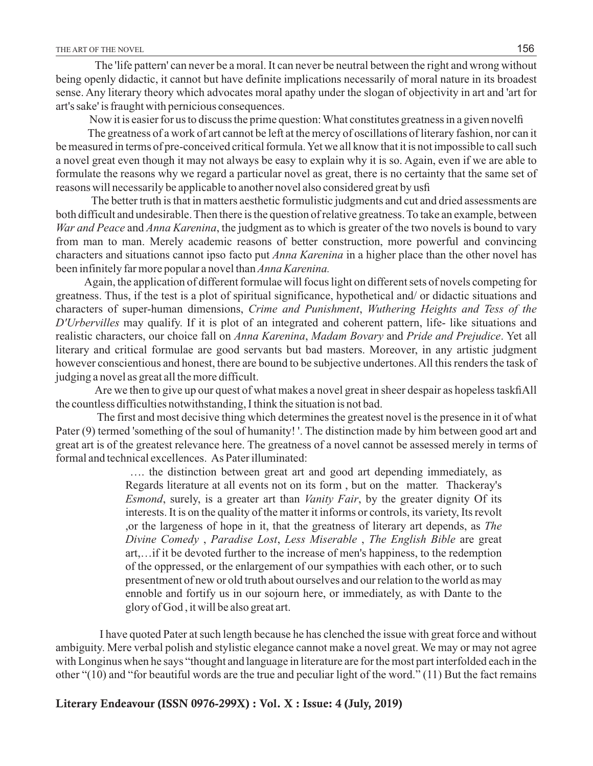The 'life pattern' can never be a moral. It can never be neutral between the right and wrong without being openly didactic, it cannot but have definite implications necessarily of moral nature in its broadest sense. Any literary theory which advocates moral apathy under the slogan of objectivity in art and 'art for art's sake' is fraught with pernicious consequences.

Now it is easier for us to discuss the prime question: What constitutes greatness in a given novelfi

The greatness of a work of art cannot be left at the mercy of oscillations of literary fashion, nor can it be measured in terms of pre-conceived critical formula. Yet we all know that it is not impossible to call such a novel great even though it may not always be easy to explain why it is so. Again, even if we are able to formulate the reasons why we regard a particular novel as great, there is no certainty that the same set of reasons will necessarily be applicable to another novel also considered great by usfi

The better truth is that in matters aesthetic formulistic judgments and cut and dried assessments are both difficult and undesirable. Then there is the question of relative greatness. To take an example, between *War and Peace* and *Anna Karenina*, the judgment as to which is greater of the two novels is bound to vary from man to man. Merely academic reasons of better construction, more powerful and convincing characters and situations cannot ipso facto put *Anna Karenina* in a higher place than the other novel has been infinitely far more popular a novel than *Anna Karenina.* 

Again, the application of different formulae will focus light on different sets of novels competing for greatness. Thus, if the test is a plot of spiritual significance, hypothetical and/ or didactic situations and characters of super-human dimensions, *Crime and Punishment*, *Wuthering Heights and Tess of the D'Urbervilles* may qualify. If it is plot of an integrated and coherent pattern, life- like situations and realistic characters, our choice fall on *Anna Karenina*, *Madam Bovary* and *Pride and Prejudice*. Yet all literary and critical formulae are good servants but bad masters. Moreover, in any artistic judgment however conscientious and honest, there are bound to be subjective undertones. All this renders the task of judging a novel as great all the more difficult.

Are we then to give up our quest of what makes a novel great in sheer despair as hopeless taskfi All the countless difficulties notwithstanding, I think the situation is not bad.

The first and most decisive thing which determines the greatest novel is the presence in it of what Pater (9) termed 'something of the soul of humanity! '. The distinction made by him between good art and great art is of the greatest relevance here. The greatness of a novel cannot be assessed merely in terms of formal and technical excellences. As Pater illuminated:

> …. the distinction between great art and good art depending immediately, as Regards literature at all events not on its form , but on the matter. Thackeray's *Esmond*, surely, is a greater art than *Vanity Fair*, by the greater dignity Of its interests. It is on the quality of the matter it informs or controls, its variety, Its revolt ,or the largeness of hope in it, that the greatness of literary art depends, as *The Divine Comedy* , *Paradise Lost*, *Less Miserable* , *The English Bible* are great art,…if it be devoted further to the increase of men's happiness, to the redemption of the oppressed, or the enlargement of our sympathies with each other, or to such presentment of new or old truth about ourselves and our relation to the world as may ennoble and fortify us in our sojourn here, or immediately, as with Dante to the glory of God , it will be also great art.

I have quoted Pater at such length because he has clenched the issue with great force and without ambiguity. Mere verbal polish and stylistic elegance cannot make a novel great. We may or may not agree with Longinus when he says "thought and language in literature are for the most part interfolded each in the other "(10) and "for beautiful words are the true and peculiar light of the word." (11) But the fact remains